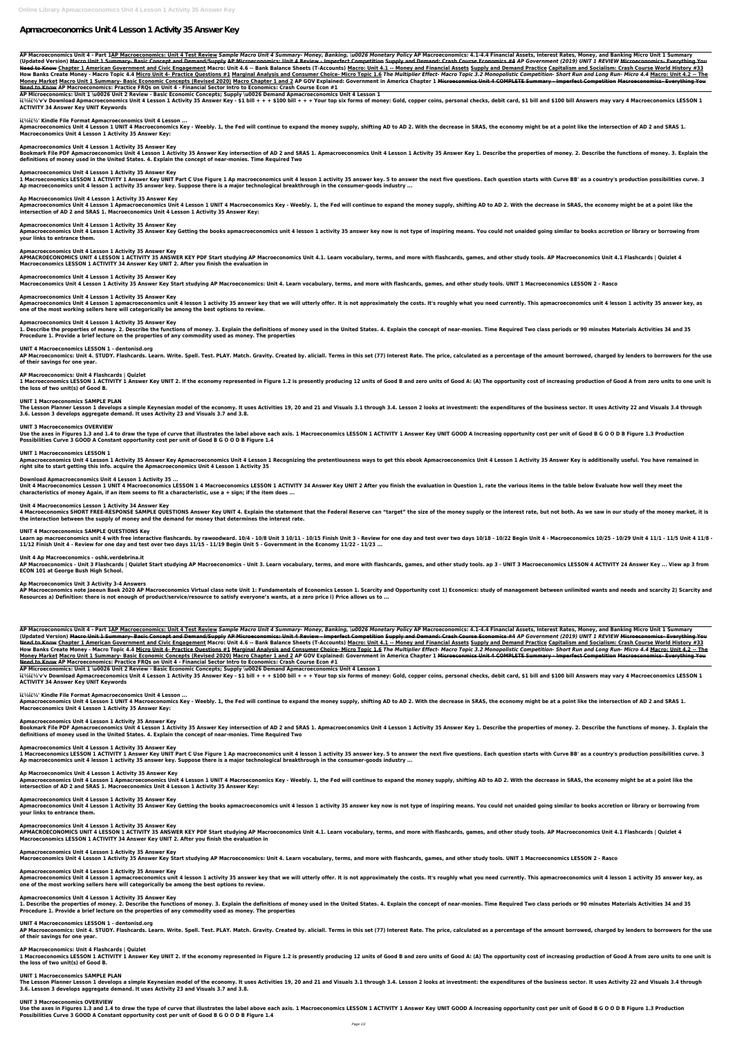# **Apmacroeconomics Unit 4 Lesson 1 Activity 35 Answer Key**

AP Macroeconomics Unit 4 - Part 1AP Macroeconomics: Unit 4 Test Review Sample Macro Unit 4 Summary- Money, Banking, \u0026 Monetary Policy AP Macroeconomics: 4.1-4.4 Financial Assets, Interest Rates, Money, and Banking Mic (Updated Version) <del>Macro Unit 1 Summary- Basic Concept and Demand/Supply AP Microeconomics: Unit 4 Review - Imperfect Competition Supply and Demand: Crash Course Economics #4 AP Government (2019) UNIT 1 REVIEW <del>Microeconom</del></del> Need to Know Chapter 1 American Government and Civic Engagement Macro: Unit 4.6 -- Bank Balance Sheets (T-Accounts) Macro: Unit 4.1 -- Money and Financial Assets Supply and Demand Practice Capitalism and Socialism: Crash C How Banks Create Money - Macro Topic 4.4 Micro Unit 4- Practice Questions #1 Marginal Analysis and Consumer Choice- Micro Topic 1.6 The Multiplier Effect- Macro Topic 3.2 Monopolistic Competition- Short Run and Long Run- M Money Market Macro Unit 1 Summary- Basic Economic Concepts (Revised 2020) Macro Chapter 1 and 2 AP GOV Explained: Government in America Chapter 1 Microeconmics Unit 4 COMPLETE Summary - Imperfect Competition Macroeconomics **Need to Know AP Macroeconomics: Practice FRQs on Unit 4 - Financial Sector Intro to Economics: Crash Course Econ #1**

ii ii //ii//iv/v Download Apmacroeconomics Unit 4 Lesson 1 Activity 35 Answer Key - \$1 bill + + + \$100 bill + + + Your top six forms of money: Gold, copper coins, personal checks, debit card, \$1 bill and \$100 bill Answers **ACTIVITY 34 Answer Key UNIT Keywords**

Apmacroeconomics Unit 4 Lesson 1 UNIT 4 Macroeconomics Key - Weebly. 1, the Fed will continue to expand the money supply, shifting AD to AD 2. With the decrease in SRAS, the economy might be at a point like the intersectio **Macroeconomics Unit 4 Lesson 1 Activity 35 Answer Key:**

Bookmark File PDF Apmacroeconomics Unit 4 Lesson 1 Activity 35 Answer Key intersection of AD 2 and SRAS 1. Apmacroeconomics Unit 4 Lesson 1 Activity 35 Answer Key 1. Describe the properties of money. 2. Describe the functi **definitions of money used in the United States. 4. Explain the concept of near-monies. Time Required Two**

**AP Microeconomics: Unit 1 \u0026 Unit 2 Review - Basic Economic Concepts; Supply \u0026 Demand Apmacroeconomics Unit 4 Lesson 1**

1 Macroeconomics LESSON 1 ACTIVITY 1 Answer Key UNIT Part C Use Figure 1 Ap macroeconomics unit 4 lesson 1 activity 35 answer key. 5 to answer the next five questions. Each question starts with Curve BB' as a country's pro **Ap macroeconomics unit 4 lesson 1 activity 35 answer key. Suppose there is a major technological breakthrough in the consumer-goods industry ...**

Apmacroeconomics Unit 4 Lesson 1 Apmacroeconomics Unit 4 Lesson 1 UNIT 4 Macroeconomics Key - Weebly. 1, the Fed will continue to expand the money supply, shifting AD to AD 2. With the decrease in SRAS, the economy might b **intersection of AD 2 and SRAS 1. Macroeconomics Unit 4 Lesson 1 Activity 35 Answer Key:**

# **��' Kindle File Format Apmacroeconomics Unit 4 Lesson ...**

Apmacroeconomics Unit 4 Lesson 1 Activity 35 Answer Key Getting the books apmacroeconomics unit 4 lesson 1 activity 35 answer key now is not type of inspiring means. You could not unaided going similar to books accretion o **your links to entrance them.**

APMACROECONOMICS UNIT 4 LESSON 1 ACTIVITY 35 ANSWER KEY PDF Start studying AP Macroeconomics Unit 4.1. Learn vocabulary, terms, and more with flashcards, games, and other study tools. AP Macroeconomics Unit 4.1 Flashcards **Macroeconomics LESSON 1 ACTIVITY 34 Answer Key UNIT 2. After you finish the evaluation in**

# **Apmacroeconomics Unit 4 Lesson 1 Activity 35 Answer Key**

Apmacroeconomics Unit 4 Lesson 1 apmacroeconomics unit 4 lesson 1 activity 35 answer key that we will utterly offer. It is not approximately the costs. It's roughly what you need currently. This apmacroeconomics unit 4 les **one of the most working sellers here will categorically be among the best options to review.**

1. Describe the properties of money. 2. Describe the functions of money. 3. Explain the definitions of money used in the United States. 4. Explain the concept of near-monies. Time Required Two class periods or 90 minutes M **Procedure 1. Provide a brief lecture on the properties of any commodity used as money. The properties**

# **Apmacroeconomics Unit 4 Lesson 1 Activity 35 Answer Key**

AP Macroeconomics: Unit 4. STUDY. Flashcards. Learn. Write. Spell. Test. PLAY. Match. Gravity. Created by. aliciall. Terms in this set (77) Interest Rate. The price, calculated as a percentage of the amount borrowed, charg **of their savings for one year.**

1 Macroeconomics LESSON 1 ACTIVITY 1 Answer Key UNIT 2. If the economy represented in Figure 1.2 is presently producing 12 units of Good B and zero units of Good A: (A) The opportunity cost of increasing production of Good **the loss of two unit(s) of Good B.**

# **Ap Macroeconomics Unit 4 Lesson 1 Activity 35 Answer Key**

The Lesson Planner Lesson 1 develops a simple Keynesian model of the economy. It uses Activities 19, 20 and 21 and Visuals 3.1 through 3.4. Lesson 2 looks at investment: the expenditures of the business sector. It uses Act **3.6. Lesson 3 develops aggregate demand. It uses Activity 23 and Visuals 3.7 and 3.8.**

Use the axes in Figures 1.3 and 1.4 to draw the type of curve that illustrates the label above each axis. 1 Macroeconomics LESSON 1 ACTIVITY 1 Answer Key UNIT GOOD A Increasing opportunity cost per unit of Good B G O O D B **Possibilities Curve 3 GOOD A Constant opportunity cost per unit of Good B G O O D B Figure 1.4**

#### **Apmacroeconomics Unit 4 Lesson 1 Activity 35 Answer Key**

Apmacroeconomics Unit 4 Lesson 1 Activity 35 Answer Key Apmacroeconomics Unit 4 Lesson 1 Recognizing the pretentiousness ways to get this ebook Apmacroeconomics Unit 4 Lesson 1 Activity 35 Answer Key is additionally useful **right site to start getting this info. acquire the Apmacroeconomics Unit 4 Lesson 1 Activity 35**

Unit 4 Macroeconomics Lesson 1 UNIT 4 Macroeconomics LESSON 1 4 Macroeconomics LESSON 1 ACTIVITY 34 Answer Key UNIT 2 After you finish the evaluation in Question 1, rate the various items in the table below Evaluate how we **characteristics of money Again, if an item seems to fit a characteristic, use a + sign; if the item does ...**

#### **Apmacroeconomics Unit 4 Lesson 1 Activity 35 Answer Key**

4 Macroeconomics SHORT FREE-RESPONSE SAMPLE QUESTIONS Answer Key UNIT 4. Explain the statement that the Federal Reserve can "target" the size of the money supply or the interest rate, but not both. As we saw in our study o **the interaction between the supply of money and the demand for money that determines the interest rate.**

Learn ap macroeconomics unit 4 with free interactive flashcards. by rawoodward. 10/4 - 10/8 Unit 3 10/11 - 10/15 Finish Unit 3 - Review for one day and test over two days 10/18 - 10/22 Begin Unit 4 - Macroeconomics 10/25 -**11/12 Finish Unit 4 - Review for one day and test over two days 11/15 - 11/19 Begin Unit 5 - Government in the Economy 11/22 - 11/23 ...**

#### **Apmacroeconomics Unit 4 Lesson 1 Activity 35 Answer Key**

AP Macroeconomics - Unit 3 Flashcards | Quizlet Start studying AP Macroeconomics - Unit 3. Learn vocabulary, terms, and more with flashcards, games, and other study tools. ap 3 - UNIT 3 Macroeconomics LESSON 4 ACTIVITY 24 **ECON 101 at George Bush High School.**

**Macroeconomics Unit 4 Lesson 1 Activity 35 Answer Key Start studying AP Macroeconomics: Unit 4. Learn vocabulary, terms, and more with flashcards, games, and other study tools. UNIT 1 Macroeconomics LESSON 2 - Rasco**

#### **Apmacroeconomics Unit 4 Lesson 1 Activity 35 Answer Key**

AP Macroeconomics note Jaeeun Baek 2020 AP Macroeconomics Virtual class note Unit 1: Fundamentals of Economics Lesson 1. Scarcity and Opportunity cost 1) Economics: study of management between unlimited wants and needs and **Resources a) Definition: there is not enough of product/service/resource to satisfy everyone's wants, at a zero price i) Price allows us to ...**

#### **Apmacroeconomics Unit 4 Lesson 1 Activity 35 Answer Key**

AP Macroeconomics Unit 4 - Part 1AP Macroeconomics: Unit 4 Test Review Sample Macro Unit 4 Summary- Money, Banking, 1u0026 Monetary Policy AP Macroeconomics: 4.1-4.4 Financial Assets, Interest Rates, Money, and Banking Mic (Updated Version) <del>Macro Unit 1 Summary- Basic Concept and Demand/Supply AP Microeconomics: Unit 4 Review - Imperfect Competition Supply and Demand: Crash Course Economics #4 AP Government (2019) UNIT 1 REVIEW Microeconomi</del> Need to Know Chapter 1 American Government and Civic Engagement Macro: Unit 4.6 -- Bank Balance Sheets (T-Accounts) Macro: Unit 4.1 -- Money and Financial Assets Supply and Demand Practice Capitalism and Socialism: Crash C How Banks Create Money - Macro Topic 4.4 Micro Unit 4- Practice Questions #1 Marginal Analysis and Consumer Choice- Micro Topic 1.6 The Multiplier Effect- Macro Topic 3.2 Monopolistic Competition- Short Run and Long Run- M Money Market Macro Unit 1 Summary- Basic Economic Concepts (Revised 2020) Macro Chapter 1 and 2 AP GOV Explained: Government in America Chapter 1 Microeconmics Unit 4 COMPLETE Summary - Imperfect Competition Macroeconomics **Need to Know AP Macroeconomics: Practice FRQs on Unit 4 - Financial Sector Intro to Economics: Crash Course Econ #1**

#### **UNIT 4 Macroeconomics LESSON 1 - dentonisd.org**

ii $\frac{1}{2}$ ii $\frac{1}{2}$ ii $\frac{1}{2}$ 'v'v Download Apmacroeconomics Unit 4 Lesson 1 Activity 35 Answer Key - \$1 bill + + + \$100 bill + + + Your top six forms of money: Gold, copper coins, personal checks, debit card, \$1 bill a **ACTIVITY 34 Answer Key UNIT Keywords**

Apmacroeconomics Unit 4 Lesson 1 UNIT 4 Macroeconomics Key - Weebly. 1, the Fed will continue to expand the money supply, shifting AD to AD 2. With the decrease in SRAS, the economy might be at a point like the intersectio **Macroeconomics Unit 4 Lesson 1 Activity 35 Answer Key:**

# **AP Macroeconomics: Unit 4 Flashcards | Quizlet**

Bookmark File PDF Apmacroeconomics Unit 4 Lesson 1 Activity 35 Answer Key intersection of AD 2 and SRAS 1. Apmacroeconomics Unit 4 Lesson 1 Activity 35 Answer Key 1. Describe the properties of money. 2. Describe the functi **definitions of money used in the United States. 4. Explain the concept of near-monies. Time Required Two**

# **UNIT 1 Macroeconomics SAMPLE PLAN**

1 Macroeconomics LESSON 1 ACTIVITY 1 Answer Key UNIT Part C Use Figure 1 Ap macroeconomics unit 4 lesson 1 activity 35 answer key. 5 to answer the next five questions. Each question starts with Curve BB' as a country's pro **Ap macroeconomics unit 4 lesson 1 activity 35 answer key. Suppose there is a major technological breakthrough in the consumer-goods industry ...**

# **UNIT 3 Macroeconomics OVERVIEW**

Apmacroeconomics Unit 4 Lesson 1 Activity 35 Answer Key Getting the books apmacroeconomics unit 4 lesson 1 activity 35 answer key now is not type of inspiring means. You could not unaided going similar to books accretion o **your links to entrance them.**

APMACROECONOMICS UNIT 4 LESSON 1 ACTIVITY 35 ANSWER KEY PDF Start studying AP Macroeconomics Unit 4.1. Learn vocabulary, terms, and more with flashcards, games, and other study tools. AP Macroeconomics Unit 4.1 Flashcards **Macroeconomics LESSON 1 ACTIVITY 34 Answer Key UNIT 2. After you finish the evaluation in**

# **UNIT 1 Macroeconomics LESSON 1**

Apmacroeconomics Unit 4 Lesson 1 apmacroeconomics unit 4 lesson 1 activity 35 answer key that we will utterly offer. It is not approximately the costs. It's roughly what you need currently. This apmacroeconomics unit 4 les **one of the most working sellers here will categorically be among the best options to review.**

### **Download Apmacroeconomics Unit 4 Lesson 1 Activity 35 ...**

1. Describe the properties of money. 2. Describe the functions of money. 3. Explain the definitions of money used in the United States. 4. Explain the concept of near-monies. Time Required Two class periods or 90 minutes M **Procedure 1. Provide a brief lecture on the properties of any commodity used as money. The properties**

AP Macroeconomics: Unit 4. STUDY. Flashcards. Learn. Write. Spell. Test. PLAY. Match. Gravity. Created by. aliciall. Terms in this set (77) Interest Rate. The price, calculated as a percentage of the amount borrowed, charg **of their savings for one year.**

1 Macroeconomics LESSON 1 ACTIVITY 1 Answer Key UNIT 2. If the economy represented in Figure 1.2 is presently producing 12 units of Good B and zero units of Good A: (A) The opportunity cost of increasing production of Good **the loss of two unit(s) of Good B.**

# **Unit 4 Macroeconomics Lesson 1 Activity 34 Answer Key**

The Lesson Planner Lesson 1 develops a simple Keynesian model of the economy. It uses Activities 19, 20 and 21 and Visuals 3.1 through 3.4. Lesson 2 looks at investment: the expenditures of the business sector. It uses Act **3.6. Lesson 3 develops aggregate demand. It uses Activity 23 and Visuals 3.7 and 3.8.**

Use the axes in Figures 1.3 and 1.4 to draw the type of curve that illustrates the label above each axis. 1 Macroeconomics LESSON 1 ACTIVITY 1 Answer Key UNIT GOOD A Increasing opportunity cost per unit of Good B G O O D B **Possibilities Curve 3 GOOD A Constant opportunity cost per unit of Good B G O O D B Figure 1.4**

# **UNIT 4 Macroeconomics SAMPLE QUESTIONS Key**

# **Unit 4 Ap Macroeconomics - oshk.verdebrina.it**

#### **Ap Macroeconomics Unit 3 Activity 3-4 Answers**

**AP Microeconomics: Unit 1 \u0026 Unit 2 Review - Basic Economic Concepts; Supply \u0026 Demand Apmacroeconomics Unit 4 Lesson 1**

#### **��' Kindle File Format Apmacroeconomics Unit 4 Lesson ...**

# **Apmacroeconomics Unit 4 Lesson 1 Activity 35 Answer Key**

#### **Apmacroeconomics Unit 4 Lesson 1 Activity 35 Answer Key**

#### **Ap Macroeconomics Unit 4 Lesson 1 Activity 35 Answer Key**

Apmacroeconomics Unit 4 Lesson 1 Apmacroeconomics Unit 4 Lesson 1 UNIT 4 Macroeconomics Key - Weebly. 1, the Fed will continue to expand the money supply, shifting AD to AD 2. With the decrease in SRAS, the economy might b

**intersection of AD 2 and SRAS 1. Macroeconomics Unit 4 Lesson 1 Activity 35 Answer Key:**

#### **Apmacroeconomics Unit 4 Lesson 1 Activity 35 Answer Key**

# **Apmacroeconomics Unit 4 Lesson 1 Activity 35 Answer Key**

**Apmacroeconomics Unit 4 Lesson 1 Activity 35 Answer Key Macroeconomics Unit 4 Lesson 1 Activity 35 Answer Key Start studying AP Macroeconomics: Unit 4. Learn vocabulary, terms, and more with flashcards, games, and other study tools. UNIT 1 Macroeconomics LESSON 2 - Rasco**

# **Apmacroeconomics Unit 4 Lesson 1 Activity 35 Answer Key**

# **Apmacroeconomics Unit 4 Lesson 1 Activity 35 Answer Key**

# **UNIT 4 Macroeconomics LESSON 1 - dentonisd.org**

### **AP Macroeconomics: Unit 4 Flashcards | Quizlet**

# **UNIT 1 Macroeconomics SAMPLE PLAN**

# **UNIT 3 Macroeconomics OVERVIEW**